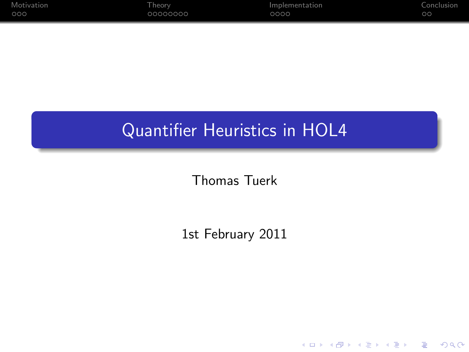| Motivation | l heorv  | Implementation | Conclusion |
|------------|----------|----------------|------------|
| 000        | 00000000 | 0000           | $\circ$    |

## Quantifier Heuristics in HOL4

Thomas Tuerk

1st February 2011

K ロ ▶ K @ ▶ K 할 ▶ K 할 ▶ | 할 | ⊙Q @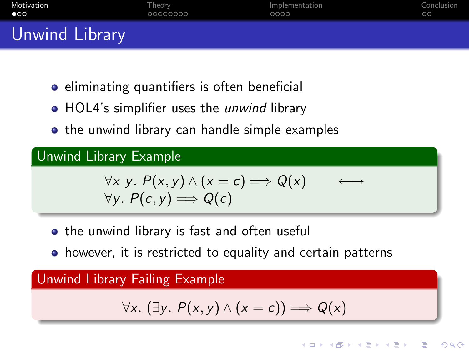| Motivation     | Theorv   | Implementation | Conclusion |
|----------------|----------|----------------|------------|
| $\bullet$ 00   | 00000000 | 0000           | $\circ$    |
| Unwind Library |          |                |            |

- eliminating quantifiers is often beneficial
- HOL4's simplifier uses the *unwind* library
- the unwind library can handle simple examples

Unwind Library Example

$$
\forall x \ y. P(x,y) \land (x = c) \Longrightarrow Q(x) \longleftrightarrow
$$
  

$$
\forall y. P(c, y) \Longrightarrow Q(c)
$$

- the unwind library is fast and often useful
- however, it is restricted to equality and certain patterns

<span id="page-1-0"></span>Unwind Library Failing Example

$$
\forall x. (\exists y. P(x,y) \land (x = c)) \Longrightarrow Q(x)
$$

E LIZER KENNED K

 $2990$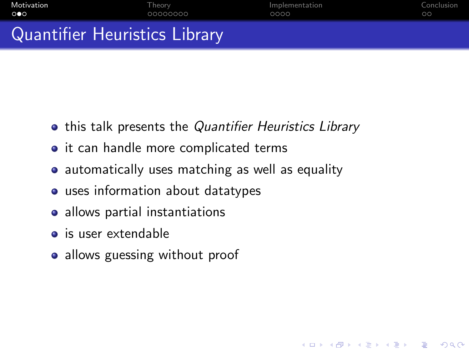| Motivation          | Theory <sup>1</sup> | Implementation | Conclusion |
|---------------------|---------------------|----------------|------------|
| $\circ\bullet\circ$ | 00000000            | 0000           | $\circ$    |
| ---                 |                     |                |            |

K ロ ▶ K @ ▶ K 할 ▶ K 할 ▶ 이 할 → 9 Q @

## Quantifier Heuristics Library

- **•** this talk presents the Quantifier Heuristics Library
- it can handle more complicated terms
- automatically uses matching as well as equality
- uses information about datatypes
- allows partial instantiations
- is user extendable
- allows guessing without proof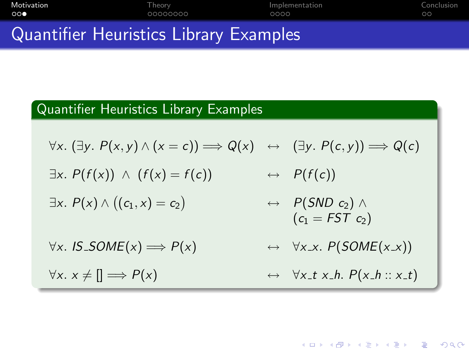| Motivation                             | Theorv   | Implementation | Conclusion |
|----------------------------------------|----------|----------------|------------|
| 000                                    | 00000000 | ററററ           | $\circ$ c  |
| Ouantifier Hauristics Library Evamples |          |                |            |

## Quantifier Heuristics Library Examples

## Quantifier Heuristics Library Examples

$$
\forall x. (\exists y. P(x,y) \land (x = c)) \Longrightarrow Q(x) \leftrightarrow (\exists y. P(c,y)) \Longrightarrow Q(c)
$$

- $\exists x. P(f(x)) \land (f(x) = f(c)) \qquad \leftrightarrow P(f(c))$
- $\exists x. P(x) \wedge ((c_1, x) = c_2)$  $\leftrightarrow$  P(SND c<sub>2</sub>) ∧  $(c_1 = FST c_2)$
- $\forall x.$  IS\_SOME(x)  $\Longrightarrow P(x) \longleftrightarrow \forall x \, . \, P(SOME(x \, . x))$
- $\forall x. \ x \neq \mathbb{I} \implies P(x) \qquad \qquad \leftrightarrow \forall x \_\mathit{t} \ x \_\mathit{h} \cdot P(x \_\mathit{h} :: x \_\mathit{t})$

**KORK ERKER ADAM ADA**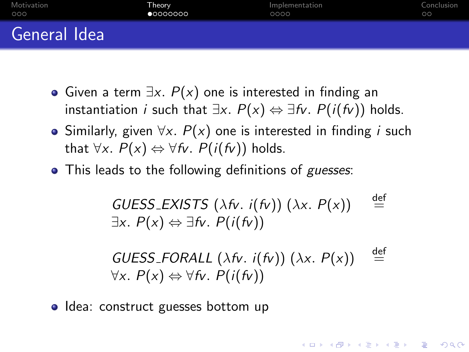| Motivation   | Theorv    | Implementation | Conclusion |
|--------------|-----------|----------------|------------|
| 000          | •00000000 | 0000           | $\circ$    |
| General Idea |           |                |            |

- Given a term  $\exists x. P(x)$  one is interested in finding an instantiation *i* such that  $\exists x. P(x) \Leftrightarrow \exists f \nu. P(i(f \nu))$  holds.
- Similarly, given  $\forall x$ .  $P(x)$  one is interested in finding *i* such that  $\forall x. P(x) \Leftrightarrow \forall f v. P(i(fv))$  holds.
- This leads to the following definitions of guesses:

GUESS\_EXISTS ( $\lambda$ fv. i(fv)) ( $\lambda$ x.  $P(x)$ )  $\stackrel{\text{def}}{=}$ ∃x. P(x) ⇔ ∃fv. P(i(fv))

GUESS FORALL  $(\lambda f_v, i(f_v))$   $(\lambda x, P(x))$  def  $\forall x. P(x) \Leftrightarrow \forall f v. P(i(fv))$ 

**KORK ERKER ADAM ADA** 

<span id="page-4-0"></span>• Idea: construct guesses bottom up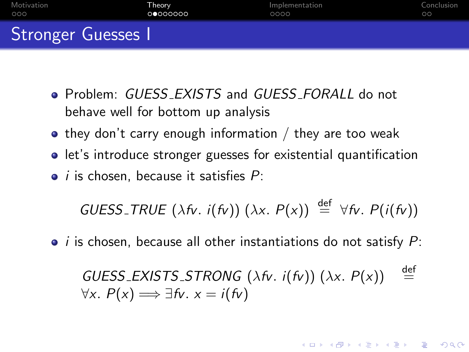| Motivation         | Theorv   | Implementation | Conclusion |
|--------------------|----------|----------------|------------|
| 000                | 00000000 | 0000           | $\circ$    |
| Stronger Guesses I |          |                |            |

- Problem: GUESS EXISTS and GUESS FORALL do not behave well for bottom up analysis
- $\bullet$  they don't carry enough information / they are too weak
- let's introduce stronger guesses for existential quantification
- $\bullet$  *i* is chosen, because it satisfies  $P$ :

GUESS\_TRUE 
$$
(\lambda fv. i(fv)) (\lambda x. P(x)) \stackrel{\text{def}}{=} \forall fv. P(i(fv))
$$

 $\bullet$  *i* is chosen, because all other instantiations do not satisfy  $P$ :

GUESS\_EXISTS\_STRONG 
$$
(\lambda \hbar v \cdot i(\hbar v)) (\lambda x \cdot P(x))
$$
   
  $\stackrel{\text{def}}{=} \forall x \cdot P(x) \Longrightarrow \exists \hbar v \cdot x = i(\hbar v)$ 

**KORK ERKER ADAM ADA**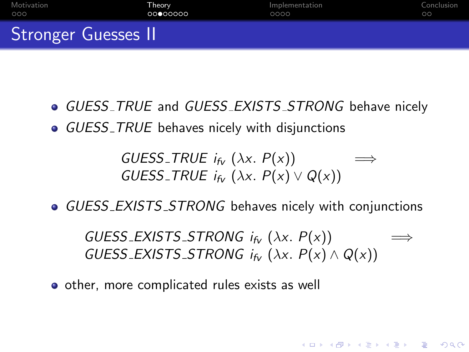| Motivation                 | Theory   | Implementation | Conclusion |
|----------------------------|----------|----------------|------------|
| 000                        | 00000000 | 0000           | $\circ$    |
| <b>Stronger Guesses II</b> |          |                |            |

- **GUESS\_TRUE and GUESS\_EXISTS\_STRONG behave nicely**
- **GUESS\_TRUE** behaves nicely with disjunctions

GUESS\_TRUE  $i_{f_v}$  ( $\lambda x$ .  $P(x)$ ) GUESS\_TRUE  $i_{f_V}$  ( $\lambda x$ .  $P(x) \vee Q(x)$ )

• GUESS\_EXISTS\_STRONG behaves nicely with conjunctions

GUESS\_EXISTS\_STRONG  $i_{f_V}$  ( $\lambda x$ .  $P(x)$ ) GUESS\_EXISTS\_STRONG  $i_{f_V}$  ( $\lambda x$ .  $P(x) \wedge Q(x)$ )

**KORK ERKER ADAM ADA** 

• other, more complicated rules exists as well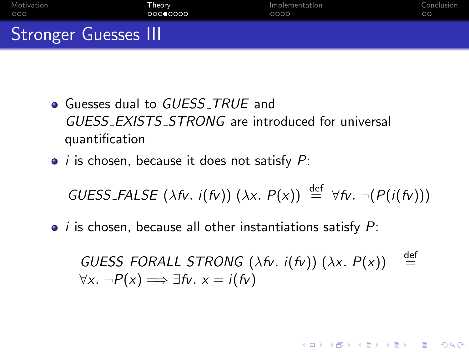| Motivation                  | Theory   | Implementation | Conclusion |
|-----------------------------|----------|----------------|------------|
| - OOO                       | 00000000 | 0000           | $\circ$    |
| <b>Stronger Guesses III</b> |          |                |            |

- Guesses dual to GUESS\_TRUE and GUESS EXISTS STRONG are introduced for universal quantification
- $\bullet$  *i* is chosen, because it does not satisfy  $P$ :

GUESS\_FALSE  $(\lambda f_v, i(f_v)) (\lambda x, P(x)) \stackrel{\text{def}}{=} \forall f_v, \neg (P(i(f_v)))$ 

 $\bullet$  *i* is chosen, because all other instantiations satisfy  $P$ :

GUESS\_FORALL\_STRONG ( $\lambda$ fv. i(fv)) ( $\lambda$ x.  $P(x)$ ) def  $\forall x. \neg P(x) \Longrightarrow \exists fv. x = i(fv)$ 

**KORK ERKER ADE YOUR**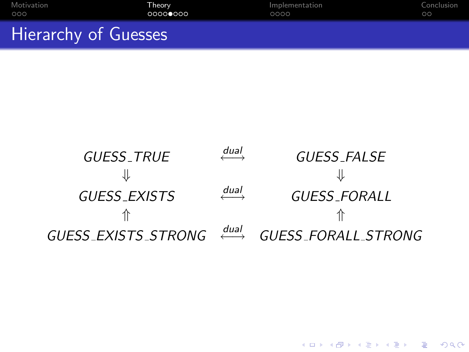| Motivation           | Theorv   | Implementation | Conclusion |
|----------------------|----------|----------------|------------|
| 000                  | 00000000 | 0000           | ററ         |
| Hierarchy of Guesses |          |                |            |



K ロ ▶ K @ ▶ K 할 > K 할 > 1 할 > 1 이익어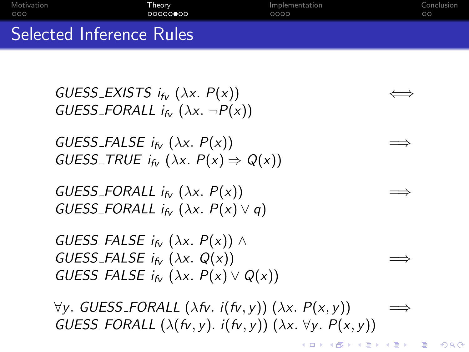| Motivation | Theorv                   | Implementation | Conclusion |
|------------|--------------------------|----------------|------------|
| 000        | 000000000                | 0000           | ററ         |
|            | Selected Inference Rules |                |            |

GUESS\_EXISTS  $i_{f_V}$  ( $\lambda x$ .  $P(x)$ ) GUESS\_FORALL  $i_{f_v}$  ( $\lambda x$ .  $\neg P(x)$ )

GUESS\_FALSE  $i_{f_V}$  ( $\lambda x$ .  $P(x)$ ) GUESS\_TRUE  $i_{f_v}$  ( $\lambda x$ .  $P(x) \Rightarrow Q(x)$ )

GUESS\_FORALL  $i_{f<sub>y</sub>}$  ( $\lambda x$ .  $P(x)$ ) GUESS\_FORALL  $i_{f_{\mathcal{V}}}$  ( $\lambda x$ .  $P(x) \vee q$ )

GUESS\_FALSE  $i_{f_V}$  ( $\lambda x$ .  $P(x)$ )  $\wedge$ GUESS\_FALSE  $i_{f_V}$  ( $\lambda x$ . Q(x)) GUESS\_FALSE  $i_{f_V}$  ( $\lambda x$ .  $P(x) \vee Q(x)$ )

 $\forall y$ . GUESS\_FORALL (λfv. i(fv, y)) (λx.  $P(x, y)$ ) GUESS\_FORALL  $(\lambda(fv, y), i(fv, y))$   $(\lambda x. \forall y. P(x, y))$ 

**KOD KARD KED KED E YORA**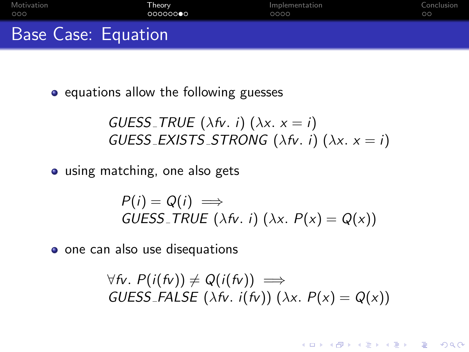| Motivation                 | Theorv | Implementation | Conclusion |
|----------------------------|--------|----------------|------------|
| 000                        | 000000 | 0000           | $\circ$    |
| <b>Base Case: Equation</b> |        |                |            |

• equations allow the following guesses

GUESS TRUE  $(\lambda f v. i)$   $(\lambda x. x = i)$ GUESS\_EXISTS\_STRONG (λfv. i) (λx.  $x = i$ )

• using matching, one also gets

$$
P(i) = Q(i) \implies
$$
  
GUESS\_TRUE ( $\lambda \hbar$ . i) ( $\lambda x$ .  $P(x) = Q(x)$ )

o one can also use disequations

$$
\forall fv. P(i(fv)) \neq Q(i(fv)) \implies
$$
  
GUESS-FALSE ( $\lambda fv. i(fv)$ ) ( $\lambda x. P(x) = Q(x)$ )

**KORK ERKER ADE YOUR**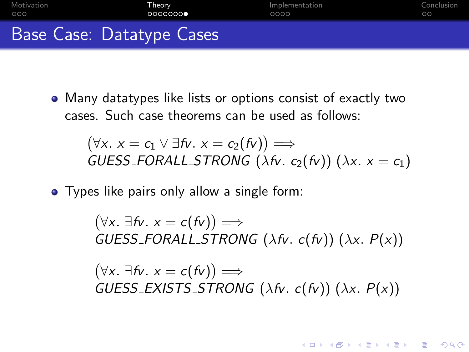| Motivation | <b>Theory</b>             | Implementation | Conclusion |
|------------|---------------------------|----------------|------------|
| 000        | 0000000                   | 0000           | ററ         |
|            | Base Case: Datatype Cases |                |            |

Many datatypes like lists or options consist of exactly two cases. Such case theorems can be used as follows:

 $(\forall x. x = c_1 \lor \exists fv. x = c_2(fv)) \Longrightarrow$ GUESS FORALL STRONG (λfv.  $c_2(fv)$ ) (λx.  $x = c_1$ )

• Types like pairs only allow a single form:

 $(\forall x. \exists fv. x = c(fv)) \Longrightarrow$ GUESS\_FORALL\_STRONG ( $\lambda$ fv. c(fv)) ( $\lambda$ x. P(x))  $(\forall x. \exists fv. x = c(fv)) \Longrightarrow$ GUESS\_EXISTS\_STRONG ( $\lambda$ fv. c(fv)) ( $\lambda$ x. P(x))

**KORK ERKER ADE YOUR**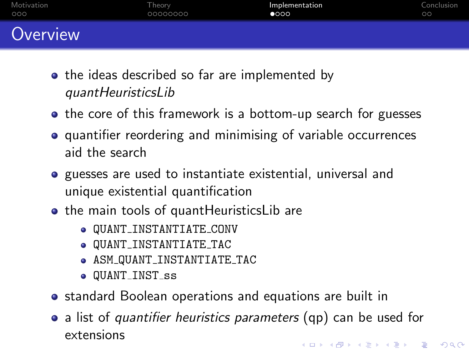| Motivation | Theorv   | Implementation | Conclusion |
|------------|----------|----------------|------------|
| 000        | 00000000 | $\bullet$ 000  | $\circ$    |
| Overview   |          |                |            |

- the ideas described so far are implemented by quantHeuristicsLib
- the core of this framework is a bottom-up search for guesses
- **•** quantifier reordering and minimising of variable occurrences aid the search
- **•** guesses are used to instantiate existential, universal and unique existential quantification
- the main tools of quantHeuristicsLib are
	- QUANT INSTANTIATE CONV
	- QUANT INSTANTIATE TAC
	- ASM QUANT INSTANTIATE TAC
	- $\bullet$  QUANT\_INST\_ss
- standard Boolean operations and equations are built in
- <span id="page-12-0"></span>• a list of quantifier heuristics parameters (qp) can be used for extensions4 D > 4 P + 4 B + 4 B + B + 9 Q O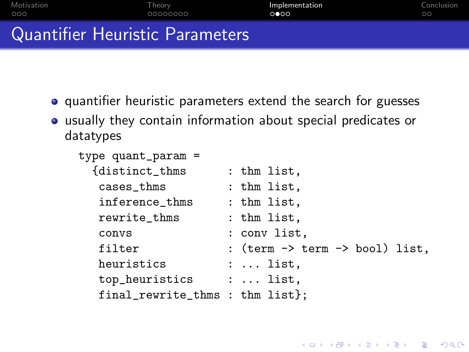| Motivation                      | Theory   | Implementation | Conclusion |
|---------------------------------|----------|----------------|------------|
| - OOO                           | 00000000 | റ∙റെ           | $\circ$    |
| Quantifier Heuristic Parameters |          |                |            |

- quantifier heuristic parameters extend the search for guesses
- usually they contain information about special predicates or datatypes

| : thm list,                                                             |
|-------------------------------------------------------------------------|
| : thm list,                                                             |
| : thm list,                                                             |
| : thm list,                                                             |
| : conv list.                                                            |
| : $(\text{term} \rightarrow \text{term} \rightarrow \text{bool})$ list, |
| $: \ldots$ list,                                                        |
| :  list,                                                                |
| final_rewrite_thms : thm list};                                         |
|                                                                         |

K ロ ▶ K @ ▶ K 할 > K 할 > 1 할 > 1 이익어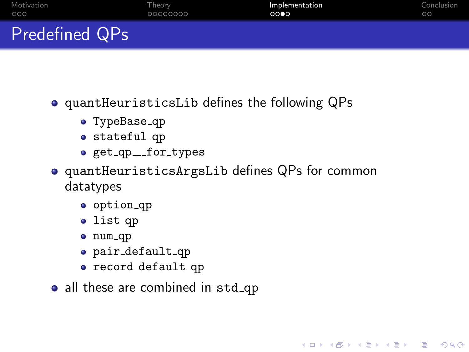| Motivation            | Theory   | Implementation | Conclusion |
|-----------------------|----------|----------------|------------|
| 000                   | 00000000 | 0000           | ററ         |
| <b>Predefined QPs</b> |          |                |            |

quantHeuristicsLib defines the following QPs

- TypeBase\_qp
- stateful qp
- o get\_qp\_\_\_for\_types
- quantHeuristicsArgsLib defines QPs for common datatypes

K ロ ▶ K @ ▶ K 할 ▶ K 할 ▶ 이 할 → 9 Q @

- o option\_qp
- list\_qp
- num\_qp
- pair default qp
- record\_default\_qp
- all these are combined in std\_qp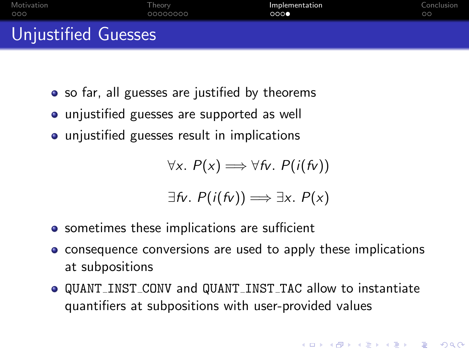| Motivation          | Theorv   | Implementation | Conclusion |
|---------------------|----------|----------------|------------|
| 000                 | 00000000 | 000            | $\circ$    |
| Unjustified Guesses |          |                |            |

- so far, all guesses are justified by theorems
- unjustified guesses are supported as well
- **•** unjustified guesses result in implications

$$
\forall x.\ P(x) \Longrightarrow \forall fv.\ P(i(fv))
$$

$$
\exists fv.\ P(i(fv)) \Longrightarrow \exists x.\ P(x)
$$

- **•** sometimes these implications are sufficient
- consequence conversions are used to apply these implications at subpositions
- QUANT INST CONV and QUANT INST TAC allow to instantiate quantifiers at subpositions with user-provided values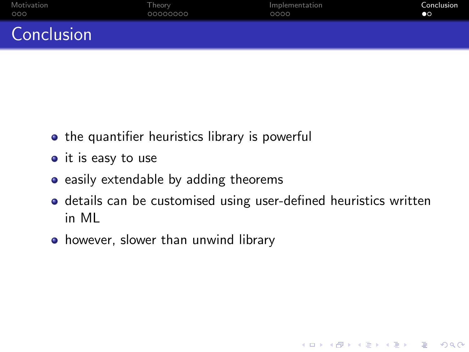| Motivation | Theory   | Implementation | Conclusion |
|------------|----------|----------------|------------|
| 000        | 00000000 | 0000           | $\bullet$  |
| Conclusion |          |                |            |

- the quantifier heuristics library is powerful
- $\bullet$  it is easy to use
- $\bullet$  easily extendable by adding theorems
- details can be customised using user-defined heuristics written in ML

K ロ ▶ K @ ▶ K 할 > K 할 > 1 할 > 1 이익어

<span id="page-16-0"></span>• however, slower than unwind library